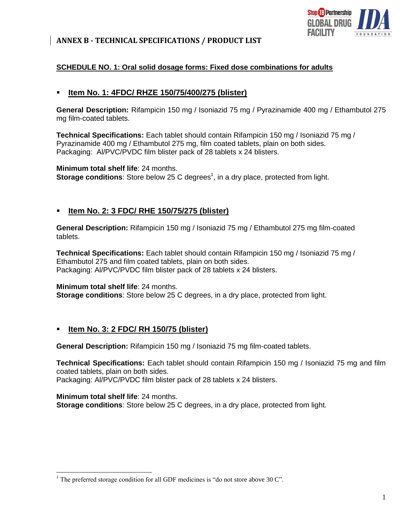

### **ANNEX B - TECHNICAL SPECIFICATIONS / PRODUCT LIST**

### **SCHEDULE NO. 1: Oral solid dosage forms: Fixed dose combinations for adults**

### **Item No. 1: 4FDC/ RHZE 150/75/400/275 (blister)**

**General Description:** Rifampicin 150 mg / Isoniazid 75 mg / Pyrazinamide 400 mg / Ethambutol 275 mg film-coated tablets.

**Technical Specifications:** Each tablet should contain Rifampicin 150 mg / Isoniazid 75 mg / Pyrazinamide 400 mg / Ethambutol 275 mg, film coated tablets, plain on both sides. Packaging: Al/PVC/PVDC film blister pack of 28 tablets x 24 blisters.

#### **Minimum total shelf life**: 24 months.

**Storage conditions:** Store below 25 C degrees<sup>1</sup>, in a dry place, protected from light.

### **Item No. 2: 3 FDC/ RHE 150/75/275 (blister)**

**General Description:** Rifampicin 150 mg / Isoniazid 75 mg / Ethambutol 275 mg film-coated tablets.

**Technical Specifications:** Each tablet should contain Rifampicin 150 mg / Isoniazid 75 mg / Ethambutol 275 and film coated tablets, plain on both sides. Packaging: Al/PVC/PVDC film blister pack of 28 tablets x 24 blisters.

**Minimum total shelf life**: 24 months. **Storage conditions**: Store below 25 C degrees, in a dry place, protected from light.

### **Item No. 3: 2 FDC/ RH 150/75 (blister)**

**General Description:** Rifampicin 150 mg / Isoniazid 75 mg film-coated tablets.

**Technical Specifications:** Each tablet should contain Rifampicin 150 mg / Isoniazid 75 mg and film coated tablets, plain on both sides. Packaging: Al/PVC/PVDC film blister pack of 28 tablets x 24 blisters.

 $1$ <sup>1</sup> The preferred storage condition for all GDF medicines is "do not store above 30 C".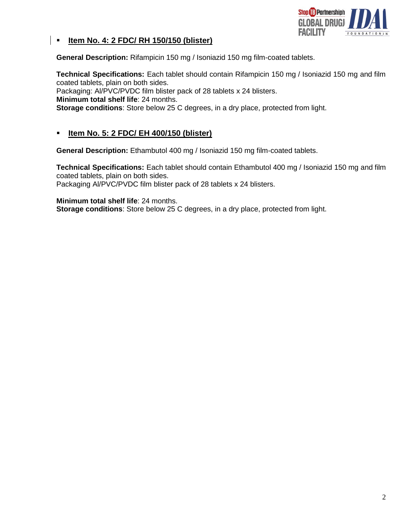

### **Item No. 4: 2 FDC/ RH 150/150 (blister)**

**General Description:** Rifampicin 150 mg / Isoniazid 150 mg film-coated tablets.

**Technical Specifications:** Each tablet should contain Rifampicin 150 mg / Isoniazid 150 mg and film coated tablets, plain on both sides.

Packaging: Al/PVC/PVDC film blister pack of 28 tablets x 24 blisters.

**Minimum total shelf life**: 24 months.

**Storage conditions**: Store below 25 C degrees, in a dry place, protected from light.

## **Item No. 5: 2 FDC/ EH 400/150 (blister)**

**General Description:** Ethambutol 400 mg / Isoniazid 150 mg film-coated tablets.

**Technical Specifications:** Each tablet should contain Ethambutol 400 mg / Isoniazid 150 mg and film coated tablets, plain on both sides. Packaging Al/PVC/PVDC film blister pack of 28 tablets x 24 blisters.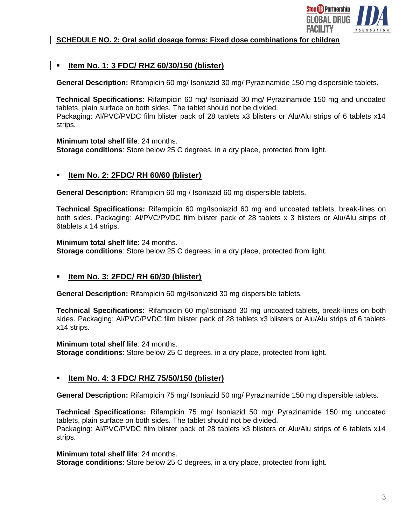

#### **SCHEDULE NO. 2: Oral solid dosage forms: Fixed dose combinations for children**

## **Item No. 1: 3 FDC/ RHZ 60/30/150 (blister)**

**General Description:** Rifampicin 60 mg/ Isoniazid 30 mg/ Pyrazinamide 150 mg dispersible tablets.

**Technical Specifications:** Rifampicin 60 mg/ Isoniazid 30 mg/ Pyrazinamide 150 mg and uncoated tablets, plain surface on both sides. The tablet should not be divided. Packaging: Al/PVC/PVDC film blister pack of 28 tablets x3 blisters or Alu/Alu strips of 6 tablets x14 strips.

#### **Minimum total shelf life**: 24 months.

**Storage conditions**: Store below 25 C degrees, in a dry place, protected from light.

### **Item No. 2: 2FDC/ RH 60/60 (blister)**

**General Description:** Rifampicin 60 mg / Isoniazid 60 mg dispersible tablets.

**Technical Specifications:** Rifampicin 60 mg/Isoniazid 60 mg and uncoated tablets, break-lines on both sides. Packaging: Al/PVC/PVDC film blister pack of 28 tablets x 3 blisters or Alu/Alu strips of 6tablets x 14 strips.

#### **Minimum total shelf life**: 24 months.

**Storage conditions**: Store below 25 C degrees, in a dry place, protected from light.

### **Item No. 3: 2FDC/ RH 60/30 (blister)**

**General Description:** Rifampicin 60 mg/Isoniazid 30 mg dispersible tablets.

**Technical Specifications:** Rifampicin 60 mg/Isoniazid 30 mg uncoated tablets, break-lines on both sides. Packaging: Al/PVC/PVDC film blister pack of 28 tablets x3 blisters or Alu/Alu strips of 6 tablets x14 strips.

#### **Minimum total shelf life**: 24 months.

**Storage conditions**: Store below 25 C degrees, in a dry place, protected from light.

### **Item No. 4: 3 FDC/ RHZ 75/50/150 (blister)**

**General Description:** Rifampicin 75 mg/ Isoniazid 50 mg/ Pyrazinamide 150 mg dispersible tablets.

**Technical Specifications:** Rifampicin 75 mg/ Isoniazid 50 mg/ Pyrazinamide 150 mg uncoated tablets, plain surface on both sides. The tablet should not be divided. Packaging: Al/PVC/PVDC film blister pack of 28 tablets x3 blisters or Alu/Alu strips of 6 tablets x14 strips.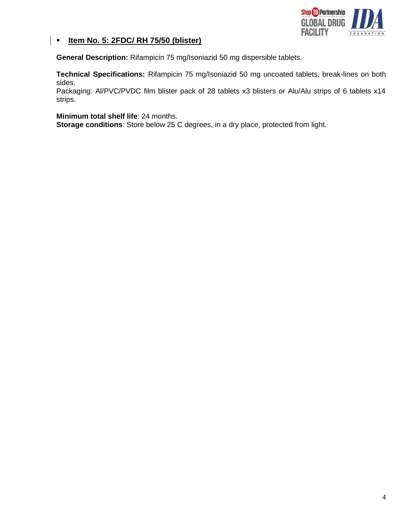

## **Item No. 5: 2FDC/ RH 75/50 (blister)**

**General Description:** Rifampicin 75 mg/Isoniazid 50 mg dispersible tablets.

**Technical Specifications:** Rifampicin 75 mg/Isoniazid 50 mg uncoated tablets, break-lines on both sides.

Packaging: Al/PVC/PVDC film blister pack of 28 tablets x3 blisters or Alu/Alu strips of 6 tablets x14 strips.

**Minimum total shelf life**: 24 months.

**Storage conditions**: Store below 25 C degrees, in a dry place, protected from light.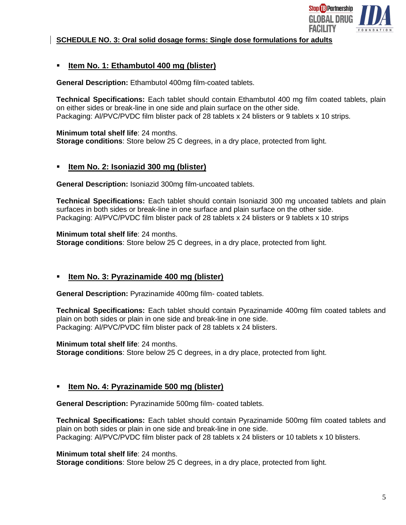

#### **SCHEDULE NO. 3: Oral solid dosage forms: Single dose formulations for adults**

### **Item No. 1: Ethambutol 400 mg (blister)**

**General Description:** Ethambutol 400mg film-coated tablets.

**Technical Specifications:** Each tablet should contain Ethambutol 400 mg film coated tablets, plain on either sides or break-line in one side and plain surface on the other side. Packaging: Al/PVC/PVDC film blister pack of 28 tablets x 24 blisters or 9 tablets x 10 strips.

**Minimum total shelf life**: 24 months. **Storage conditions**: Store below 25 C degrees, in a dry place, protected from light.

### **Item No. 2: Isoniazid 300 mg (blister)**

**General Description:** Isoniazid 300mg film-uncoated tablets.

**Technical Specifications:** Each tablet should contain Isoniazid 300 mg uncoated tablets and plain surfaces in both sides or break-line in one surface and plain surface on the other side. Packaging: Al/PVC/PVDC film blister pack of 28 tablets x 24 blisters or 9 tablets x 10 strips

#### **Minimum total shelf life**: 24 months.

**Storage conditions**: Store below 25 C degrees, in a dry place, protected from light.

### **Item No. 3: Pyrazinamide 400 mg (blister)**

**General Description:** Pyrazinamide 400mg film- coated tablets.

**Technical Specifications:** Each tablet should contain Pyrazinamide 400mg film coated tablets and plain on both sides or plain in one side and break-line in one side. Packaging: Al/PVC/PVDC film blister pack of 28 tablets x 24 blisters.

**Minimum total shelf life**: 24 months.

**Storage conditions**: Store below 25 C degrees, in a dry place, protected from light.

### **Item No. 4: Pyrazinamide 500 mg (blister)**

**General Description:** Pyrazinamide 500mg film- coated tablets.

**Technical Specifications:** Each tablet should contain Pyrazinamide 500mg film coated tablets and plain on both sides or plain in one side and break-line in one side. Packaging: Al/PVC/PVDC film blister pack of 28 tablets x 24 blisters or 10 tablets x 10 blisters.

**Minimum total shelf life**: 24 months.

**Storage conditions**: Store below 25 C degrees, in a dry place, protected from light.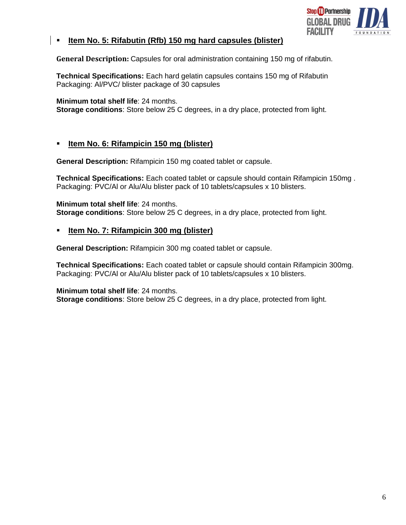

## **Item No. 5: Rifabutin (Rfb) 150 mg hard capsules (blister)**

**General Description:** Capsules for oral administration containing 150 mg of rifabutin.

**Technical Specifications:** Each hard gelatin capsules contains 150 mg of Rifabutin Packaging: Al/PVC/ blister package of 30 capsules

**Minimum total shelf life**: 24 months.

**Storage conditions**: Store below 25 C degrees, in a dry place, protected from light.

## **Item No. 6: Rifampicin 150 mg (blister)**

**General Description:** Rifampicin 150 mg coated tablet or capsule.

**Technical Specifications:** Each coated tablet or capsule should contain Rifampicin 150mg . Packaging: PVC/Al or Alu/Alu blister pack of 10 tablets/capsules x 10 blisters.

**Minimum total shelf life**: 24 months. **Storage conditions**: Store below 25 C degrees, in a dry place, protected from light.

### **Item No. 7: Rifampicin 300 mg (blister)**

**General Description:** Rifampicin 300 mg coated tablet or capsule.

**Technical Specifications:** Each coated tablet or capsule should contain Rifampicin 300mg. Packaging: PVC/Al or Alu/Alu blister pack of 10 tablets/capsules x 10 blisters.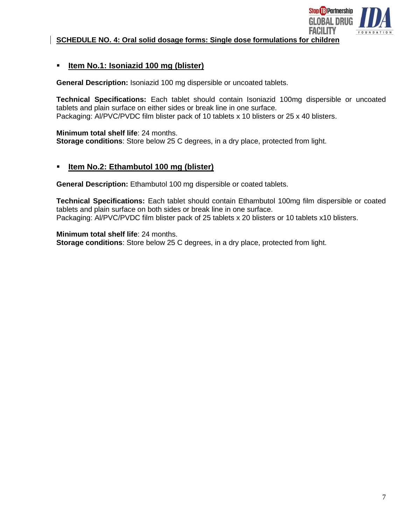

**SCHEDULE NO. 4: Oral solid dosage forms: Single dose formulations for children**

## **Item No.1: Isoniazid 100 mg (blister)**

**General Description:** Isoniazid 100 mg dispersible or uncoated tablets.

**Technical Specifications:** Each tablet should contain Isoniazid 100mg dispersible or uncoated tablets and plain surface on either sides or break line in one surface. Packaging: Al/PVC/PVDC film blister pack of 10 tablets x 10 blisters or 25 x 40 blisters.

**Minimum total shelf life**: 24 months. **Storage conditions**: Store below 25 C degrees, in a dry place, protected from light.

## **Item No.2: Ethambutol 100 mg (blister)**

**General Description:** Ethambutol 100 mg dispersible or coated tablets.

**Technical Specifications:** Each tablet should contain Ethambutol 100mg film dispersible or coated tablets and plain surface on both sides or break line in one surface. Packaging: Al/PVC/PVDC film blister pack of 25 tablets x 20 blisters or 10 tablets x10 blisters.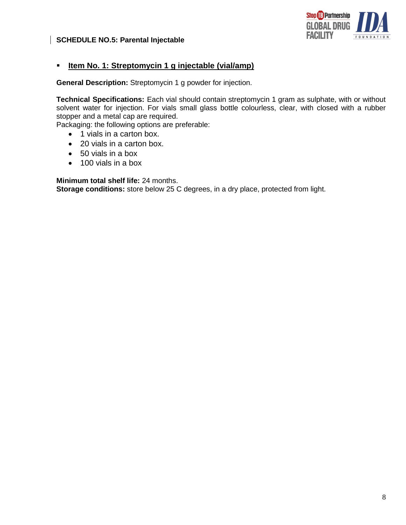



## **Item No. 1: Streptomycin 1 g injectable (vial/amp)**

**General Description:** Streptomycin 1 g powder for injection.

**Technical Specifications:** Each vial should contain streptomycin 1 gram as sulphate, with or without solvent water for injection. For vials small glass bottle colourless, clear, with closed with a rubber stopper and a metal cap are required.

Packaging: the following options are preferable:

- 1 vials in a carton box.
- 20 vials in a carton box.
- 50 vials in a box
- 100 vials in a box

**Minimum total shelf life:** 24 months.

**Storage conditions:** store below 25 C degrees, in a dry place, protected from light.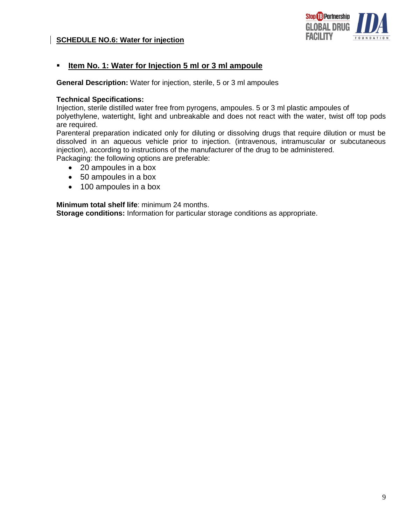### **SCHEDULE NO.6: Water for injection**



## **Item No. 1: Water for Injection 5 ml or 3 ml ampoule**

**General Description:** Water for injection, sterile, 5 or 3 ml ampoules

#### **Technical Specifications:**

Injection, sterile distilled water free from pyrogens, ampoules. 5 or 3 ml plastic ampoules of

polyethylene, watertight, light and unbreakable and does not react with the water, twist off top pods are required.

Parenteral preparation indicated only for diluting or dissolving drugs that require dilution or must be dissolved in an aqueous vehicle prior to injection. (intravenous, intramuscular or subcutaneous injection), according to instructions of the manufacturer of the drug to be administered. Packaging: the following options are preferable:

• 20 ampoules in a box

- 50 ampoules in a box
- 100 ampoules in a box

**Minimum total shelf life**: minimum 24 months.

**Storage conditions:** Information for particular storage conditions as appropriate.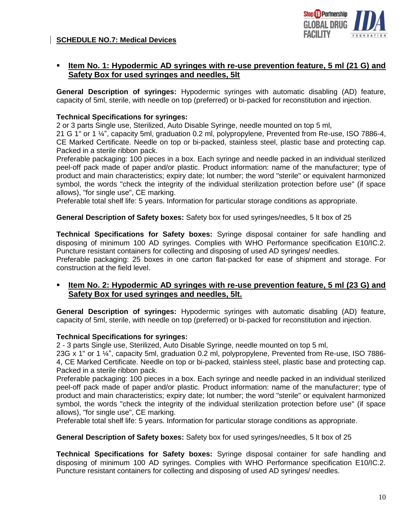### **SCHEDULE NO.7: Medical Devices**



## **Item No. 1: Hypodermic AD syringes with re-use prevention feature, 5 ml (21 G) and Safety Box for used syringes and needles, 5lt**

**General Description of syringes:** Hypodermic syringes with automatic disabling (AD) feature, capacity of 5ml, sterile, with needle on top (preferred) or bi-packed for reconstitution and injection.

### **Technical Specifications for syringes:**

2 or 3 parts Single use, Sterilized, Auto Disable Syringe, needle mounted on top 5 ml,

21 G 1" or 1 ¼", capacity 5ml, graduation 0.2 ml, polypropylene, Prevented from Re-use, ISO 7886-4, CE Marked Certificate. Needle on top or bi-packed, stainless steel, plastic base and protecting cap. Packed in a sterile ribbon pack.

Preferable packaging: 100 pieces in a box. Each syringe and needle packed in an individual sterilized peel-off pack made of paper and/or plastic. Product information: name of the manufacturer; type of product and main characteristics; expiry date; lot number; the word "sterile" or equivalent harmonized symbol, the words "check the integrity of the individual sterilization protection before use" (if space allows), "for single use", CE marking.

Preferable total shelf life: 5 years. Information for particular storage conditions as appropriate.

#### **General Description of Safety boxes:** Safety box for used syringes/needles, 5 lt box of 25

**Technical Specifications for Safety boxes:** Syringe disposal container for safe handling and disposing of minimum 100 AD syringes. Complies with WHO Performance specification E10/IC.2. Puncture resistant containers for collecting and disposing of used AD syringes/ needles.

Preferable packaging: 25 boxes in one carton flat-packed for ease of shipment and storage. For construction at the field level.

### **Item No. 2: Hypodermic AD syringes with re-use prevention feature, 5 ml (23 G) and Safety Box for used syringes and needles, 5lt.**

**General Description of syringes:** Hypodermic syringes with automatic disabling (AD) feature, capacity of 5ml, sterile, with needle on top (preferred) or bi-packed for reconstitution and injection.

#### **Technical Specifications for syringes:**

2 - 3 parts Single use, Sterilized, Auto Disable Syringe, needle mounted on top 5 ml,

23G x 1" or 1 ¼", capacity 5ml, graduation 0.2 ml, polypropylene, Prevented from Re-use, ISO 7886- 4, CE Marked Certificate. Needle on top or bi-packed, stainless steel, plastic base and protecting cap. Packed in a sterile ribbon pack.

Preferable packaging: 100 pieces in a box. Each syringe and needle packed in an individual sterilized peel-off pack made of paper and/or plastic. Product information: name of the manufacturer; type of product and main characteristics; expiry date; lot number; the word "sterile" or equivalent harmonized symbol, the words "check the integrity of the individual sterilization protection before use" (if space allows), "for single use", CE marking.

Preferable total shelf life: 5 years. Information for particular storage conditions as appropriate.

**General Description of Safety boxes:** Safety box for used syringes/needles, 5 lt box of 25

**Technical Specifications for Safety boxes:** Syringe disposal container for safe handling and disposing of minimum 100 AD syringes. Complies with WHO Performance specification E10/IC.2. Puncture resistant containers for collecting and disposing of used AD syringes/ needles.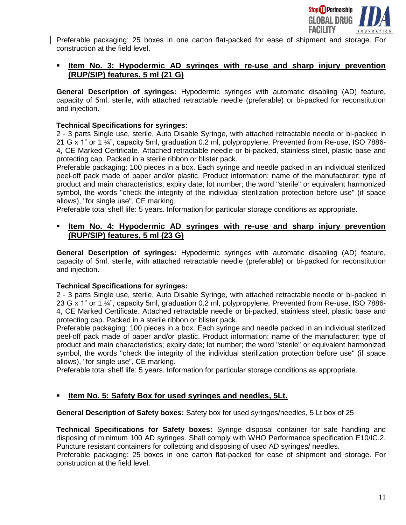

Preferable packaging: 25 boxes in one carton flat-packed for ease of shipment and storage. For construction at the field level.

## **Item No. 3: Hypodermic AD syringes with re-use and sharp injury prevention (RUP/SIP) features, 5 ml (21 G)**

**General Description of syringes:** Hypodermic syringes with automatic disabling (AD) feature, capacity of 5ml, sterile, with attached retractable needle (preferable) or bi-packed for reconstitution and injection.

#### **Technical Specifications for syringes:**

2 - 3 parts Single use, sterile, Auto Disable Syringe, with attached retractable needle or bi-packed in 21 G x 1" or 1 ¼", capacity 5ml, graduation 0.2 ml, polypropylene, Prevented from Re-use, ISO 7886- 4, CE Marked Certificate. Attached retractable needle or bi-packed, stainless steel, plastic base and protecting cap. Packed in a sterile ribbon or blister pack.

Preferable packaging: 100 pieces in a box. Each syringe and needle packed in an individual sterilized peel-off pack made of paper and/or plastic. Product information: name of the manufacturer; type of product and main characteristics; expiry date; lot number; the word "sterile" or equivalent harmonized symbol, the words "check the integrity of the individual sterilization protection before use" (if space allows), "for single use", CE marking.

Preferable total shelf life: 5 years. Information for particular storage conditions as appropriate.

### **Item No. 4: Hypodermic AD syringes with re-use and sharp injury prevention (RUP/SIP) features, 5 ml (23 G)**

**General Description of syringes:** Hypodermic syringes with automatic disabling (AD) feature, capacity of 5ml, sterile, with attached retractable needle (preferable) or bi-packed for reconstitution and injection.

### **Technical Specifications for syringes:**

2 - 3 parts Single use, sterile, Auto Disable Syringe, with attached retractable needle or bi-packed in 23 G x 1" or 1 ¼", capacity 5ml, graduation 0.2 ml, polypropylene, Prevented from Re-use, ISO 7886- 4, CE Marked Certificate. Attached retractable needle or bi-packed, stainless steel, plastic base and protecting cap. Packed in a sterile ribbon or blister pack.

Preferable packaging: 100 pieces in a box. Each syringe and needle packed in an individual sterilized peel-off pack made of paper and/or plastic. Product information: name of the manufacturer; type of product and main characteristics; expiry date; lot number; the word "sterile" or equivalent harmonized symbol, the words "check the integrity of the individual sterilization protection before use" (if space allows), "for single use", CE marking.

Preferable total shelf life: 5 years. Information for particular storage conditions as appropriate.

## **Item No. 5: Safety Box for used syringes and needles, 5Lt.**

**General Description of Safety boxes:** Safety box for used syringes/needles, 5 Lt box of 25

**Technical Specifications for Safety boxes:** Syringe disposal container for safe handling and disposing of minimum 100 AD syringes. Shall comply with WHO Performance specification E10/IC.2. Puncture resistant containers for collecting and disposing of used AD syringes/ needles.

Preferable packaging: 25 boxes in one carton flat-packed for ease of shipment and storage. For construction at the field level.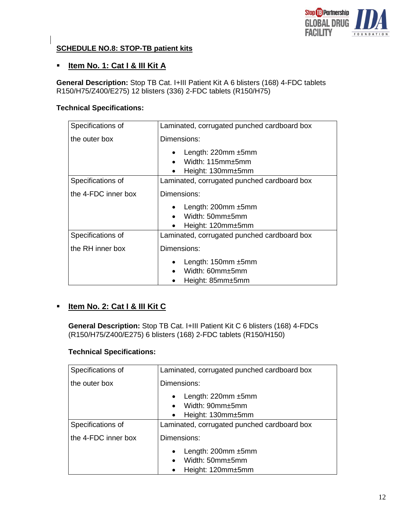

## **SCHEDULE NO.8: STOP-TB patient kits**

# **Item No. 1: Cat I & III Kit A**

**General Description:** Stop TB Cat. I+III Patient Kit A 6 blisters (168) 4-FDC tablets R150/H75/Z400/E275) 12 blisters (336) 2-FDC tablets (R150/H75)

### **Technical Specifications:**

| Specifications of   | Laminated, corrugated punched cardboard box                                   |
|---------------------|-------------------------------------------------------------------------------|
| the outer box       | Dimensions:                                                                   |
|                     | Length: $220$ mm $\pm 5$ mm<br>Width: $115$ mm $\pm$ 5mm<br>Height: 130mm±5mm |
| Specifications of   | Laminated, corrugated punched cardboard box                                   |
| the 4-FDC inner box | Dimensions:                                                                   |
|                     | Length: $200$ mm $\pm 5$ mm                                                   |
|                     | Width: 50mm±5mm                                                               |
|                     | Height: 120mm±5mm                                                             |
| Specifications of   | Laminated, corrugated punched cardboard box                                   |
| the RH inner box    | Dimensions:                                                                   |
|                     | Length: $150$ mm $\pm 5$ mm<br>Width: 60mm±5mm<br>Height: 85mm±5mm            |

# **Item No. 2: Cat I & III Kit C**

**General Description:** Stop TB Cat. I+III Patient Kit C 6 blisters (168) 4-FDCs (R150/H75/Z400/E275) 6 blisters (168) 2-FDC tablets (R150/H150)

### **Technical Specifications:**

| Specifications of   | Laminated, corrugated punched cardboard box                                                                |
|---------------------|------------------------------------------------------------------------------------------------------------|
| the outer box       | Dimensions:                                                                                                |
|                     | Length: $220$ mm $\pm 5$ mm<br>$\bullet$<br>Width: 90mm±5mm<br>$\bullet$<br>Height: 130mm±5mm<br>$\bullet$ |
| Specifications of   | Laminated, corrugated punched cardboard box                                                                |
| the 4-FDC inner box | Dimensions:                                                                                                |
|                     | Length: $200$ mm $\pm 5$ mm<br>$\bullet$<br>Width: 50mm±5mm<br>$\bullet$<br>Height: 120mm±5mm<br>$\bullet$ |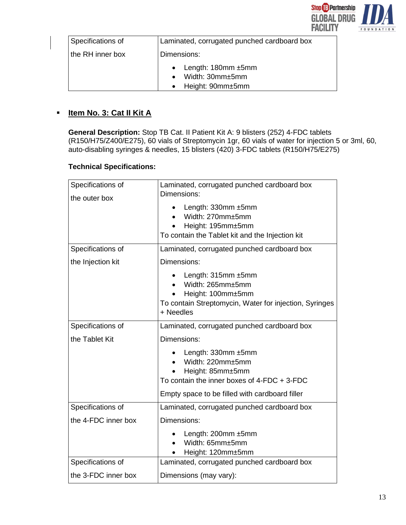

| Specifications of | Laminated, corrugated punched cardboard box                                |
|-------------------|----------------------------------------------------------------------------|
| the RH inner box  | Dimensions:                                                                |
|                   | • Length: $180$ mm $\pm 5$ mm<br>Width: $30mm \pm 5mm$<br>Height: 90mm±5mm |

# **Item No. 3: Cat II Kit A**

**General Description:** Stop TB Cat. II Patient Kit A: 9 blisters (252) 4-FDC tablets (R150/H75/Z400/E275), 60 vials of Streptomycin 1gr, 60 vials of water for injection 5 or 3ml, 60, auto-disabling syringes & needles, 15 blisters (420) 3-FDC tablets (R150/H75/E275)

## **Technical Specifications:**

| Specifications of<br>the outer box | Laminated, corrugated punched cardboard box<br>Dimensions:                                                                         |
|------------------------------------|------------------------------------------------------------------------------------------------------------------------------------|
|                                    | Length: 330mm ±5mm<br>Width: 270mm±5mm<br>Height: 195mm±5mm<br>To contain the Tablet kit and the Injection kit                     |
| Specifications of                  | Laminated, corrugated punched cardboard box                                                                                        |
| the Injection kit                  | Dimensions:                                                                                                                        |
|                                    | Length: 315mm ±5mm<br>Width: 265mm±5mm<br>Height: 100mm±5mm<br>To contain Streptomycin, Water for injection, Syringes<br>+ Needles |
| Specifications of                  | Laminated, corrugated punched cardboard box                                                                                        |
| the Tablet Kit                     | Dimensions:                                                                                                                        |
|                                    | Length: $330$ mm $\pm 5$ mm                                                                                                        |
|                                    | Width: 220mm±5mm                                                                                                                   |
|                                    | Height: 85mm±5mm<br>To contain the inner boxes of $4$ -FDC $+3$ -FDC                                                               |
|                                    | Empty space to be filled with cardboard filler                                                                                     |
| Specifications of                  | Laminated, corrugated punched cardboard box                                                                                        |
| the 4-FDC inner box                | Dimensions:                                                                                                                        |
|                                    | Length: 200mm ±5mm<br>Width: 65mm±5mm<br>Height: 120mm±5mm                                                                         |
| Specifications of                  | Laminated, corrugated punched cardboard box                                                                                        |
| the 3-FDC inner box                | Dimensions (may vary):                                                                                                             |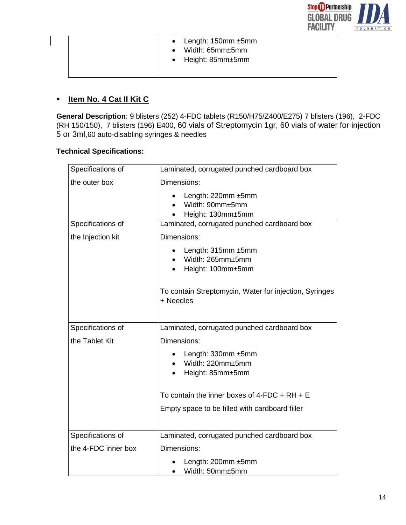

| • Length: $150$ mm $\pm 5$ mm<br>$\bullet$ Width: 65mm $\pm$ 5mm<br>$\bullet$ Height: 85mm $\pm$ 5mm |  |
|------------------------------------------------------------------------------------------------------|--|
|------------------------------------------------------------------------------------------------------|--|

# **Item No. 4 Cat II Kit C**

**General Description**: 9 blisters (252) 4-FDC tablets (R150/H75/Z400/E275) 7 blisters (196), 2-FDC (RH 150/150), 7 blisters (196) E400, 60 vials of Streptomycin 1gr, 60 vials of water for injection 5 or 3ml,60 auto-disabling syringes & needles

# **Technical Specifications:**

| Specifications of   | Laminated, corrugated punched cardboard box                          |
|---------------------|----------------------------------------------------------------------|
| the outer box       | Dimensions:                                                          |
|                     | Length: 220mm ±5mm<br>Width: 90mm±5mm<br>Height: 130mm±5mm           |
| Specifications of   | Laminated, corrugated punched cardboard box                          |
| the Injection kit   | Dimensions:                                                          |
|                     | Length: $315$ mm $\pm 5$ mm<br>Width: 265mm±5mm<br>Height: 100mm±5mm |
|                     | To contain Streptomycin, Water for injection, Syringes<br>+ Needles  |
| Specifications of   | Laminated, corrugated punched cardboard box                          |
| the Tablet Kit      | Dimensions:                                                          |
|                     | Length: 330mm ±5mm<br>Width: 220mm±5mm<br>Height: 85mm±5mm           |
|                     | To contain the inner boxes of $4$ -FDC + RH + E                      |
|                     | Empty space to be filled with cardboard filler                       |
| Specifications of   | Laminated, corrugated punched cardboard box                          |
| the 4-FDC inner box | Dimensions:                                                          |
|                     | Length: 200mm ±5mm<br>Width: 50mm±5mm                                |